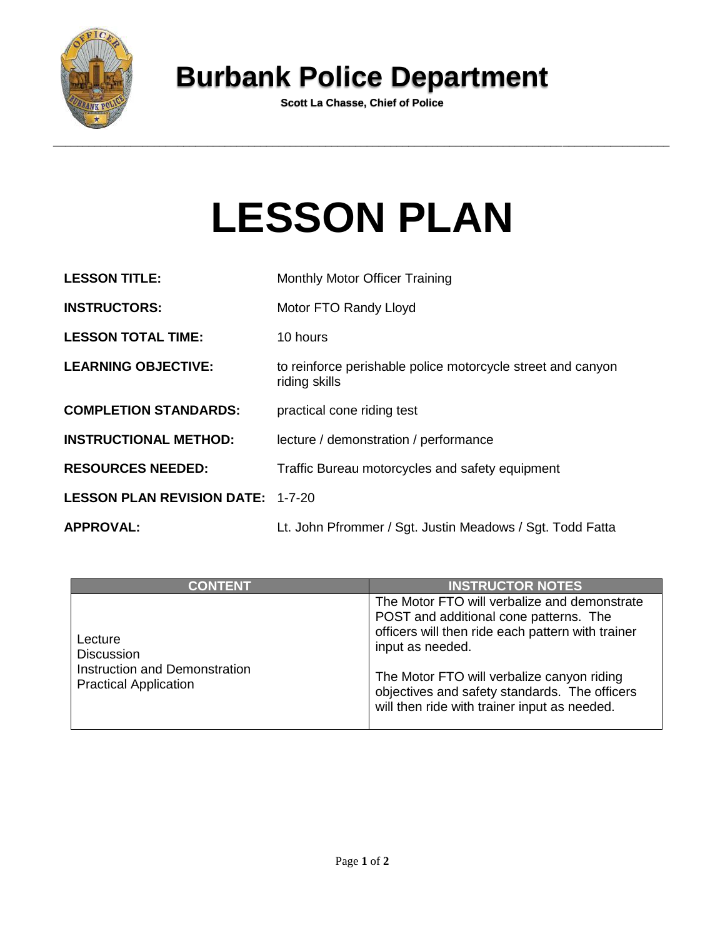

## **Burbank Police Department**

**Scott La Chasse, Chief of Police**

## **LESSON PLAN**

| <b>LESSON TITLE:</b>                     | <b>Monthly Motor Officer Training</b>                                        |
|------------------------------------------|------------------------------------------------------------------------------|
| <b>INSTRUCTORS:</b>                      | Motor FTO Randy Lloyd                                                        |
| <b>LESSON TOTAL TIME:</b>                | 10 hours                                                                     |
| <b>LEARNING OBJECTIVE:</b>               | to reinforce perishable police motorcycle street and canyon<br>riding skills |
| <b>COMPLETION STANDARDS:</b>             | practical cone riding test                                                   |
| <b>INSTRUCTIONAL METHOD:</b>             | lecture / demonstration / performance                                        |
| <b>RESOURCES NEEDED:</b>                 | Traffic Bureau motorcycles and safety equipment                              |
| <b>LESSON PLAN REVISION DATE: 1-7-20</b> |                                                                              |
| <b>APPROVAL:</b>                         | Lt. John Pfrommer / Sgt. Justin Meadows / Sgt. Todd Fatta                    |

| <b>CONTENT</b>                                                                                | <b>INSTRUCTOR NOTES</b>                                                                                                                                                                                                                                                                                        |
|-----------------------------------------------------------------------------------------------|----------------------------------------------------------------------------------------------------------------------------------------------------------------------------------------------------------------------------------------------------------------------------------------------------------------|
| Lecture<br><b>Discussion</b><br>Instruction and Demonstration<br><b>Practical Application</b> | The Motor FTO will verbalize and demonstrate<br>POST and additional cone patterns. The<br>officers will then ride each pattern with trainer<br>input as needed.<br>The Motor FTO will verbalize canyon riding<br>objectives and safety standards. The officers<br>will then ride with trainer input as needed. |